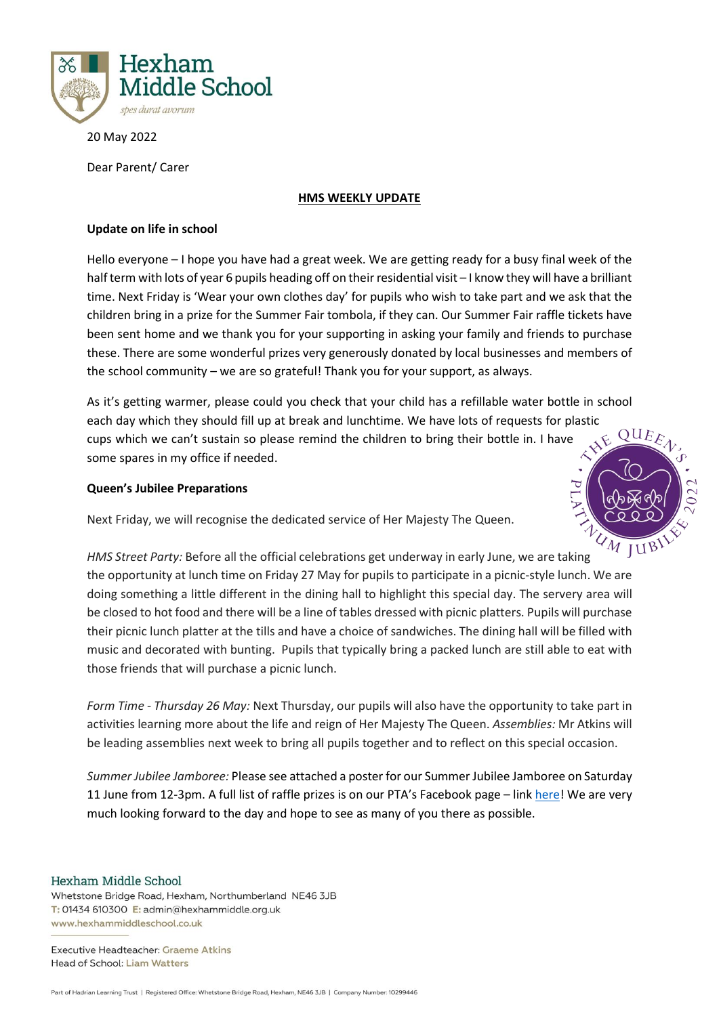

20 May 2022

Dear Parent/ Carer

#### **HMS WEEKLY UPDATE**

## **Update on life in school**

Hello everyone – I hope you have had a great week. We are getting ready for a busy final week of the half term with lots of year 6 pupils heading off on their residential visit - I know they will have a brilliant time. Next Friday is 'Wear your own clothes day' for pupils who wish to take part and we ask that the children bring in a prize for the Summer Fair tombola, if they can. Our Summer Fair raffle tickets have been sent home and we thank you for your supporting in asking your family and friends to purchase these. There are some wonderful prizes very generously donated by local businesses and members of the school community – we are so grateful! Thank you for your support, as always.

As it's getting warmer, please could you check that your child has a refillable water bottle in school each day which they should fill up at break and lunchtime. We have lots of requests for plastic cups which we can't sustain so please remind the children to bring their bottle in. I have some spares in my office if needed.

# **Queen's Jubilee Preparations**

Next Friday, we will recognise the dedicated service of Her Majesty The Queen.



*HMS Street Party:* Before all the official celebrations get underway in early June, we are taking the opportunity at lunch time on Friday 27 May for pupils to participate in a picnic-style lunch. We are doing something a little different in the dining hall to highlight this special day. The servery area will be closed to hot food and there will be a line of tables dressed with picnic platters. Pupils will purchase their picnic lunch platter at the tills and have a choice of sandwiches. The dining hall will be filled with music and decorated with bunting. Pupils that typically bring a packed lunch are still able to eat with those friends that will purchase a picnic lunch.

*Form Time - Thursday 26 May:* Next Thursday, our pupils will also have the opportunity to take part in activities learning more about the life and reign of Her Majesty The Queen. *Assemblies:* Mr Atkins will be leading assemblies next week to bring all pupils together and to reflect on this special occasion.

*Summer Jubilee Jamboree:* Please see attached a poster for our Summer Jubilee Jamboree on Saturday 11 June from 12-3pm. A full list of raffle prizes is on our PTA's Facebook page – link [here!](https://www.facebook.com/hexhammiddleschoolpta/) We are very much looking forward to the day and hope to see as many of you there as possible.

#### Hexham Middle School

Whetstone Bridge Road, Hexham, Northumberland NE46 3JB T: 01434 610300 E: admin@hexhammiddle.org.uk www.hexhammiddleschool.co.uk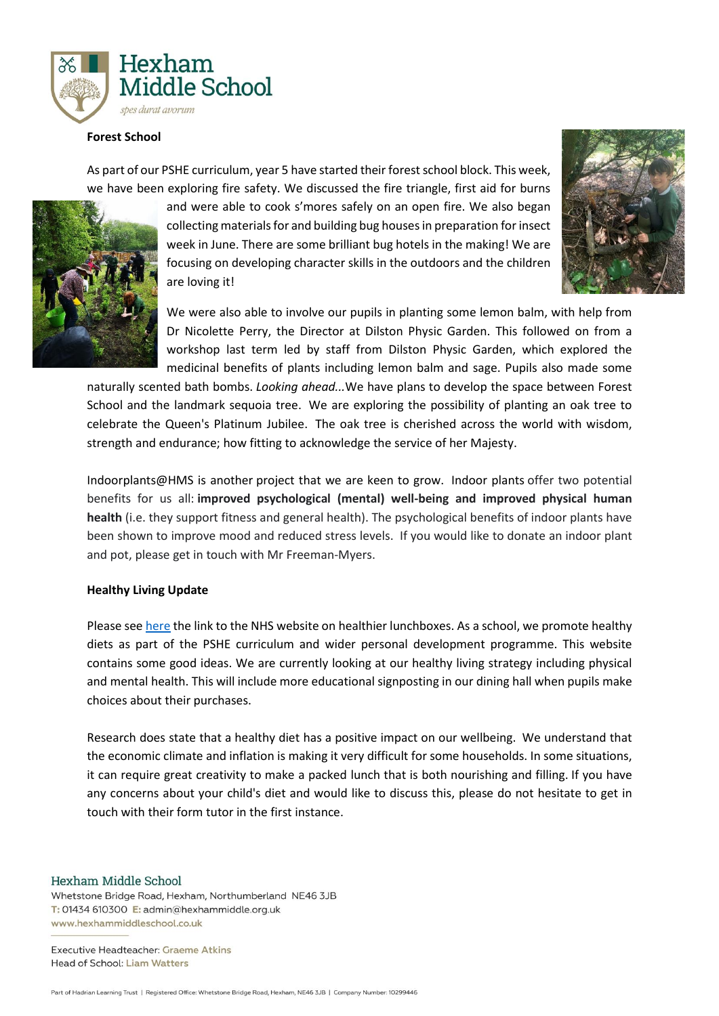

#### **Forest School**

As part of our PSHE curriculum, year 5 have started their forest school block. This week, we have been exploring fire safety. We discussed the fire triangle, first aid for burns



and were able to cook s'mores safely on an open fire. We also began collecting materials for and building bug houses in preparation for insect week in June. There are some brilliant bug hotels in the making! We are focusing on developing character skills in the outdoors and the children are loving it!



We were also able to involve our pupils in planting some lemon balm, with help from Dr Nicolette Perry, the Director at Dilston Physic Garden. This followed on from a workshop last term led by staff from Dilston Physic Garden, which explored the medicinal benefits of plants including lemon balm and sage. Pupils also made some

naturally scented bath bombs. *Looking ahead...*We have plans to develop the space between Forest School and the landmark sequoia tree. We are exploring the possibility of planting an oak tree to celebrate the Queen's Platinum Jubilee. The oak tree is cherished across the world with wisdom, strength and endurance; how fitting to acknowledge the service of her Majesty.

Indoorplants@HMS is another project that we are keen to grow. Indoor plants offer two potential benefits for us all: **improved psychological (mental) well-being and improved physical human health** (i.e. they support fitness and general health). The psychological benefits of indoor plants have been shown to improve mood and reduced stress levels. If you would like to donate an indoor plant and pot, please get in touch with Mr Freeman-Myers.

#### **Healthy Living Update**

Please see [here](https://www.nhs.uk/healthier-families/recipes/healthier-lunchboxes/) the link to the NHS website on healthier lunchboxes. As a school, we promote healthy diets as part of the PSHE curriculum and wider personal development programme. This website contains some good ideas. We are currently looking at our healthy living strategy including physical and mental health. This will include more educational signposting in our dining hall when pupils make choices about their purchases.

Research does state that a healthy diet has a positive impact on our wellbeing. We understand that the economic climate and inflation is making it very difficult for some households. In some situations, it can require great creativity to make a packed lunch that is both nourishing and filling. If you have any concerns about your child's diet and would like to discuss this, please do not hesitate to get in touch with their form tutor in the first instance.

Hexham Middle School

Whetstone Bridge Road, Hexham, Northumberland NE46 3JB T: 01434 610300 E: admin@hexhammiddle.org.uk www.hexhammiddleschool.co.uk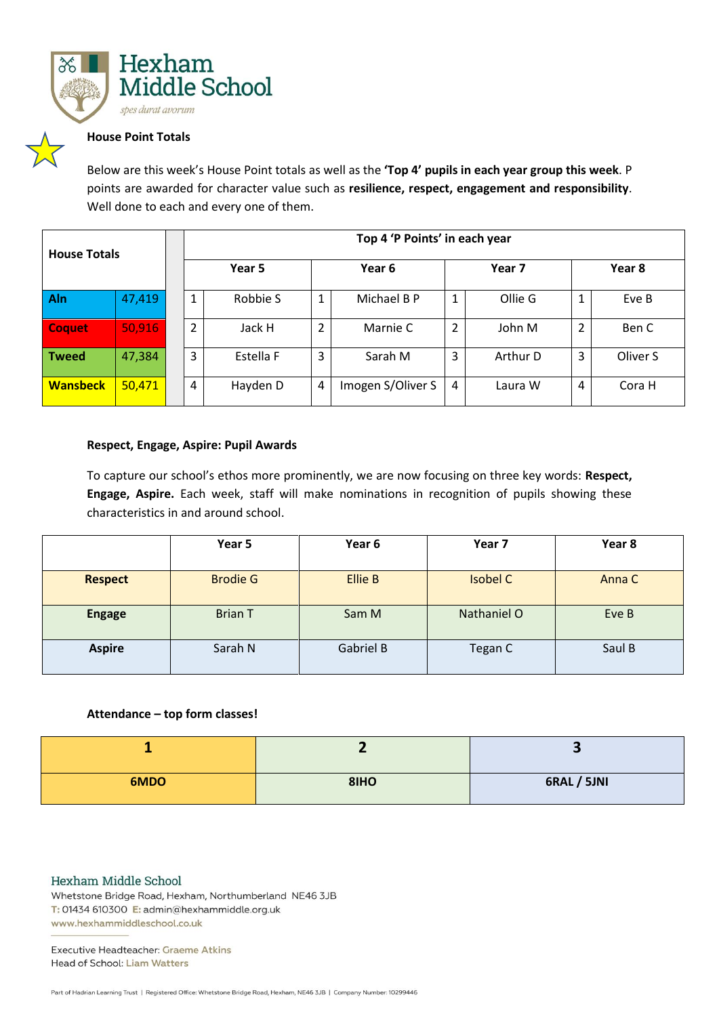

## **House Point Totals**

Below are this week's House Point totals as well as the **'Top 4' pupils in each year group this week**. P points are awarded for character value such as **resilience, respect, engagement and responsibility**. Well done to each and every one of them.

| <b>House Totals</b> |        |                | Top 4 'P Points' in each year |        |                   |                |          |        |          |
|---------------------|--------|----------------|-------------------------------|--------|-------------------|----------------|----------|--------|----------|
|                     |        | Year 5         |                               | Year 6 |                   | Year 7         |          | Year 8 |          |
| Aln                 | 47,419 |                | Robbie S                      | 1      | Michael B P       | 1              | Ollie G  |        | Eve B    |
| <b>Coquet</b>       | 50,916 | $\overline{2}$ | Jack H                        | 2      | Marnie C          | $\overline{2}$ | John M   | 2      | Ben C    |
| <b>Tweed</b>        | 47,384 | 3              | Estella F                     | 3      | Sarah M           | 3              | Arthur D | 3      | Oliver S |
| <b>Wansbeck</b>     | 50,471 | 4              | Hayden D                      | 4      | Imogen S/Oliver S | 4              | Laura W  | 4      | Cora H   |

## **Respect, Engage, Aspire: Pupil Awards**

To capture our school's ethos more prominently, we are now focusing on three key words: **Respect, Engage, Aspire.** Each week, staff will make nominations in recognition of pupils showing these characteristics in and around school.

|                | Year 5          | Year 6           | Year 7          | Year 8 |
|----------------|-----------------|------------------|-----------------|--------|
| <b>Respect</b> | <b>Brodie G</b> | <b>Ellie B</b>   | <b>Isobel C</b> | Anna C |
| <b>Engage</b>  | <b>Brian T</b>  | Sam M            | Nathaniel O     | Eve B  |
| <b>Aspire</b>  | Sarah N         | <b>Gabriel B</b> | Tegan C         | Saul B |

## **Attendance – top form classes!**

| 6MDO | 8IHO | 6RAL / 5JNI |
|------|------|-------------|

## Hexham Middle School

Whetstone Bridge Road, Hexham, Northumberland NE46 3JB T: 01434 610300 E: admin@hexhammiddle.org.uk www.hexhammiddleschool.co.uk